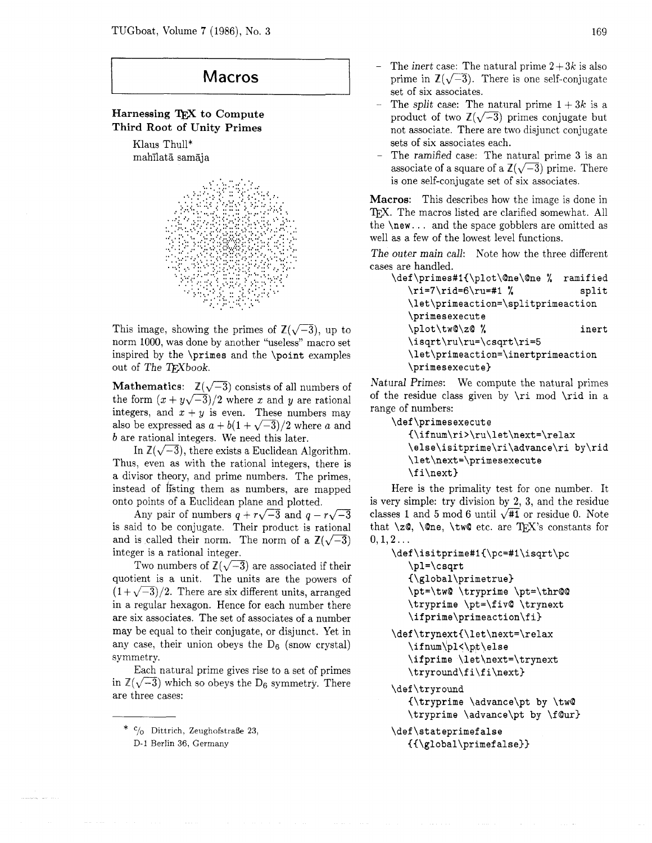## **Macros**

## Harnessing TFX to Compute Third Root of Unity Primes

Klaus Thull\* mahilata samaja



This image, showing the primes of  $\mathbb{Z}(\sqrt{-3})$ , up to norm 1000, was done by another "useless" macro set inspired by the **\primes** and the **\point** examples out of The TrXbook.

**Mathematics:**  $\mathbb{Z}(\sqrt{-3})$  consists of all numbers of the form  $(x + y\sqrt{-3})/2$  where x and y are rational integers, and  $x + y$  is even. These numbers may also be expressed as  $a + b(1 + \sqrt{-3})/2$  where a and *b* are rational integers. We need this later.

In  $\mathbb{Z}(\sqrt{-3})$ , there exists a Euclidean Algorithm. Thus, even as with the rational integers, there is a divisor theory, and prime numbers. The primes, instead of listing them as numbers, are mapped onto points of a Euclidean plane and plotted.

Any pair of numbers  $q + r\sqrt{-3}$  and  $q - r\sqrt{-3}$ is said to be conjugate. Their product is rational and is called their norm. The norm of a  $\mathbb{Z}(\sqrt{-3})$ integer is a rational integer.

Two numbers of  $\mathbb{Z}(\sqrt{-3})$  are associated if their quotient is a unit. The units are the powers of  $(1+\sqrt{-3})/2$ . There are six different units, arranged in a regular hexagon. Hence for each number there are six associates. The set of associates of a number may be equal to their conjugate, or disjunct. Yet in any case, their union obeys the  $D_6$  (snow crystal) symmetry.

Each natural prime gives rise to a set of primes in  $\mathbb{Z}(\sqrt{-3})$  which so obeys the D<sub>6</sub> symmetry. There are three cases:

- The inert case: The natural prime  $2+3k$  is also prime in  $\mathbb{Z}(\sqrt{-3})$ . There is one self-conjugate set of six associates.
- The split case: The natural prime  $1 + 3k$  is a product of two  $\mathbb{Z}(\sqrt{-3})$  primes conjugate but not associate. There are two disjunct conjugate sets of six associates each.
- The ramified case: The natural prime **3** is an associate of a square of a  $\mathbb{Z}(\sqrt{-3})$  prime. There is one self-conjugate set of six associates.

Macros: This describes how the image is done in TFX. The macros listed are clarified somewhat. All the **\new.** . . and the space gobblers are omitted as well as a few of the lowest level functions.

The outer main call: Note how the three different cases are handled.

| \def\primes#1{\plot\@ne\@ne %      | ramified |
|------------------------------------|----------|
| \ri=7\rid=6\ru=#1 %                | split    |
| \let\primeaction=\splitprimeaction |          |
| \primesexecute                     |          |
| \plot\tw@\z@ %                     | inert    |
| \isqrt\ru\ru=\csqrt\ri=5           |          |
| \let\primeaction=\inertprimeaction |          |
| \primesexecute}                    |          |

Natural Primes: We compute the natural primes of the residue class given by **\ri** mod **\rid** in a range of numbers:

```
\def \primesexecute
```

```
(\ifnum\ri>\ru\let\next=\relax 
\else\isitprime\ri\advance\ri by\rid 
\let\next=\primesexecut e 
\f i\next)
```
Here is the primality test for one number. It is very simple: try division by 2, **3,** and the residue classes 1 and 5 mod 6 until  $\sqrt{11}$  or residue 0. Note that  $\zeta$ ,  $\Omega$ ,  $\tw$  etc. are TEX's constants for  $0, 1, 2...$ 

```
\def \isitprime#i(\pc=#i\isqrt\pc 
   \pl=\csqrt 
   (\global\primetrue) 
   \pt=\tw@ \tryprime \pt=\thr@@ 
   \tryprime \pt=\f iv@ \trynext 
   \ifprime\primeaction\fi) 
\def \trynext(\let\next=\relax
```

```
\ifnum\pl<\pt\else
\ifprime \letAnext=\trynext 
\tryround\f i\f i\next)
```

```
\def \tryround 
   {\tryprime \advance\pt by \tw@
```

```
\tryprime \advance\pt by \fQur)
```

```
\def \stateprimef alse 
   C{\global\primef alse))
```
<sup>\*</sup> Dittrich, ZeughofstraBe **23.** 

D-1 Berlin 36, Germany